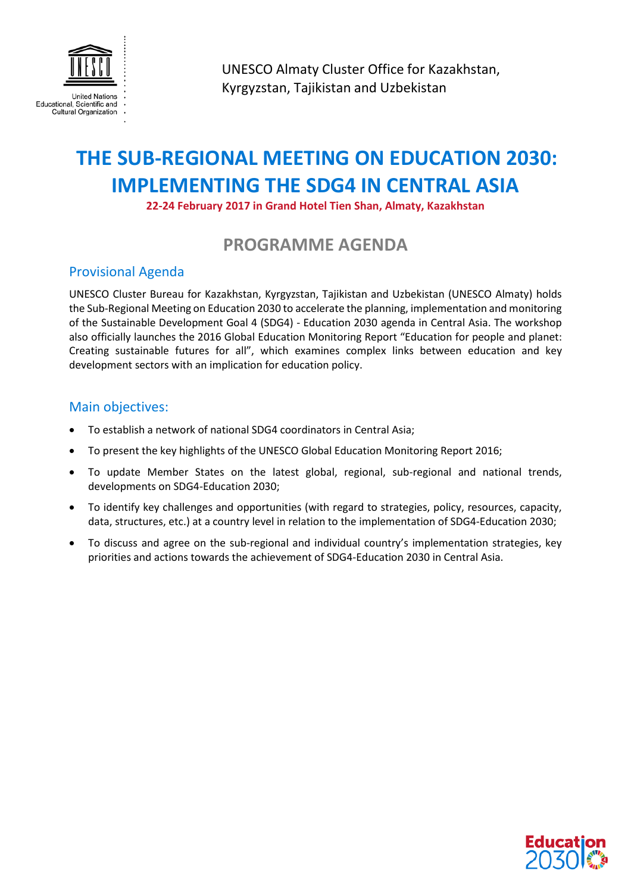

UNESCO Almaty Cluster Office for Kazakhstan, Kyrgyzstan, Tajikistan and Uzbekistan

## **THE SUB-REGIONAL MEETING ON EDUCATION 2030: IMPLEMENTING THE SDG4 IN CENTRAL ASIA**

**22-24 February 2017 in Grand Hotel Tien Shan, Almaty, Kazakhstan** 

## **PROGRAMME AGENDA**

## Provisional Agenda

UNESCO Cluster Bureau for Kazakhstan, Kyrgyzstan, Tajikistan and Uzbekistan (UNESCO Almaty) holds the Sub-Regional Meeting on Education 2030 to accelerate the planning, implementation and monitoring of the Sustainable Development Goal 4 (SDG4) - Education 2030 agenda in Central Asia. The workshop also officially launches the 2016 Global Education Monitoring Report "Education for people and planet: Creating sustainable futures for all", which examines complex links between education and key development sectors with an implication for education policy.

## Main objectives:

- To establish a network of national SDG4 coordinators in Central Asia;
- To present the key highlights of the UNESCO Global Education Monitoring Report 2016;
- To update Member States on the latest global, regional, sub-regional and national trends, developments on SDG4-Education 2030;
- To identify key challenges and opportunities (with regard to strategies, policy, resources, capacity, data, structures, etc.) at a country level in relation to the implementation of SDG4-Education 2030;
- To discuss and agree on the sub-regional and individual country's implementation strategies, key priorities and actions towards the achievement of SDG4-Education 2030 in Central Asia.

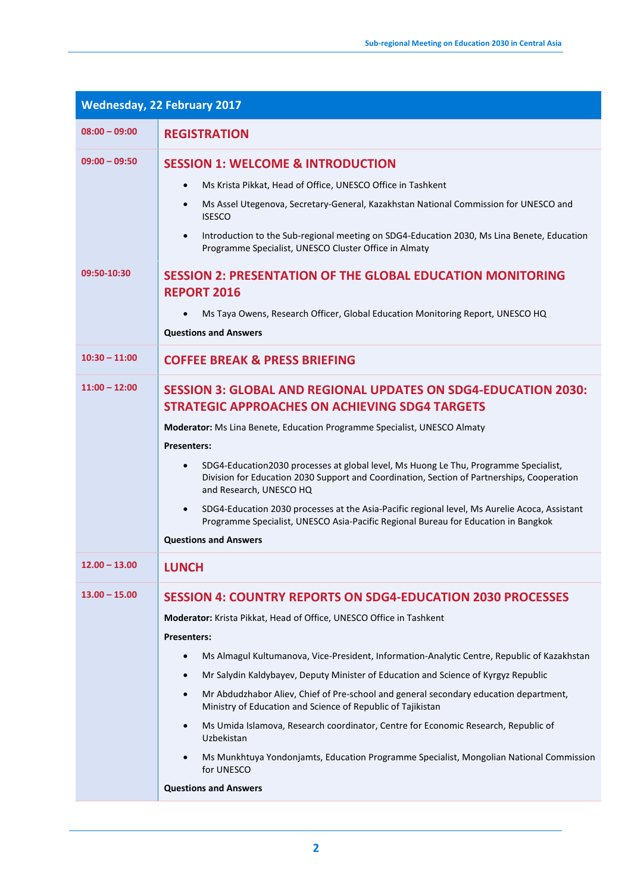| <b>Wednesday, 22 February 2017</b> |                                                                                                                                                                                                                                                                                                                                                                                                                                                                                                                                                                                                                                                                                                                                                           |  |
|------------------------------------|-----------------------------------------------------------------------------------------------------------------------------------------------------------------------------------------------------------------------------------------------------------------------------------------------------------------------------------------------------------------------------------------------------------------------------------------------------------------------------------------------------------------------------------------------------------------------------------------------------------------------------------------------------------------------------------------------------------------------------------------------------------|--|
| $08:00 - 09:00$                    | <b>REGISTRATION</b>                                                                                                                                                                                                                                                                                                                                                                                                                                                                                                                                                                                                                                                                                                                                       |  |
| $09:00 - 09:50$                    | <b>SESSION 1: WELCOME &amp; INTRODUCTION</b><br>Ms Krista Pikkat, Head of Office, UNESCO Office in Tashkent<br>Ms Assel Utegenova, Secretary-General, Kazakhstan National Commission for UNESCO and<br><b>ISESCO</b><br>Introduction to the Sub-regional meeting on SDG4-Education 2030, Ms Lina Benete, Education<br>$\bullet$<br>Programme Specialist, UNESCO Cluster Office in Almaty                                                                                                                                                                                                                                                                                                                                                                  |  |
| 09:50-10:30                        | <b>SESSION 2: PRESENTATION OF THE GLOBAL EDUCATION MONITORING</b><br><b>REPORT 2016</b><br>Ms Taya Owens, Research Officer, Global Education Monitoring Report, UNESCO HQ<br><b>Questions and Answers</b>                                                                                                                                                                                                                                                                                                                                                                                                                                                                                                                                                 |  |
| $10:30 - 11:00$                    | <b>COFFEE BREAK &amp; PRESS BRIEFING</b>                                                                                                                                                                                                                                                                                                                                                                                                                                                                                                                                                                                                                                                                                                                  |  |
| $11:00 - 12:00$                    | <b>SESSION 3: GLOBAL AND REGIONAL UPDATES ON SDG4-EDUCATION 2030:</b><br><b>STRATEGIC APPROACHES ON ACHIEVING SDG4 TARGETS</b><br>Moderator: Ms Lina Benete, Education Programme Specialist, UNESCO Almaty<br><b>Presenters:</b><br>SDG4-Education2030 processes at global level, Ms Huong Le Thu, Programme Specialist,<br>$\bullet$<br>Division for Education 2030 Support and Coordination, Section of Partnerships, Cooperation<br>and Research, UNESCO HQ<br>SDG4-Education 2030 processes at the Asia-Pacific regional level, Ms Aurelie Acoca, Assistant<br>$\bullet$<br>Programme Specialist, UNESCO Asia-Pacific Regional Bureau for Education in Bangkok<br><b>Questions and Answers</b>                                                        |  |
| $12.00 - 13.00$                    | <b>LUNCH</b>                                                                                                                                                                                                                                                                                                                                                                                                                                                                                                                                                                                                                                                                                                                                              |  |
| $13.00 - 15.00$                    | <b>SESSION 4: COUNTRY REPORTS ON SDG4-EDUCATION 2030 PROCESSES</b><br>Moderator: Krista Pikkat, Head of Office, UNESCO Office in Tashkent<br><b>Presenters:</b><br>Ms Almagul Kultumanova, Vice-President, Information-Analytic Centre, Republic of Kazakhstan<br>Mr Salydin Kaldybayev, Deputy Minister of Education and Science of Kyrgyz Republic<br>Mr Abdudzhabor Aliev, Chief of Pre-school and general secondary education department,<br>Ministry of Education and Science of Republic of Tajikistan<br>Ms Umida Islamova, Research coordinator, Centre for Economic Research, Republic of<br>Uzbekistan<br>Ms Munkhtuya Yondonjamts, Education Programme Specialist, Mongolian National Commission<br>for UNESCO<br><b>Questions and Answers</b> |  |
|                                    |                                                                                                                                                                                                                                                                                                                                                                                                                                                                                                                                                                                                                                                                                                                                                           |  |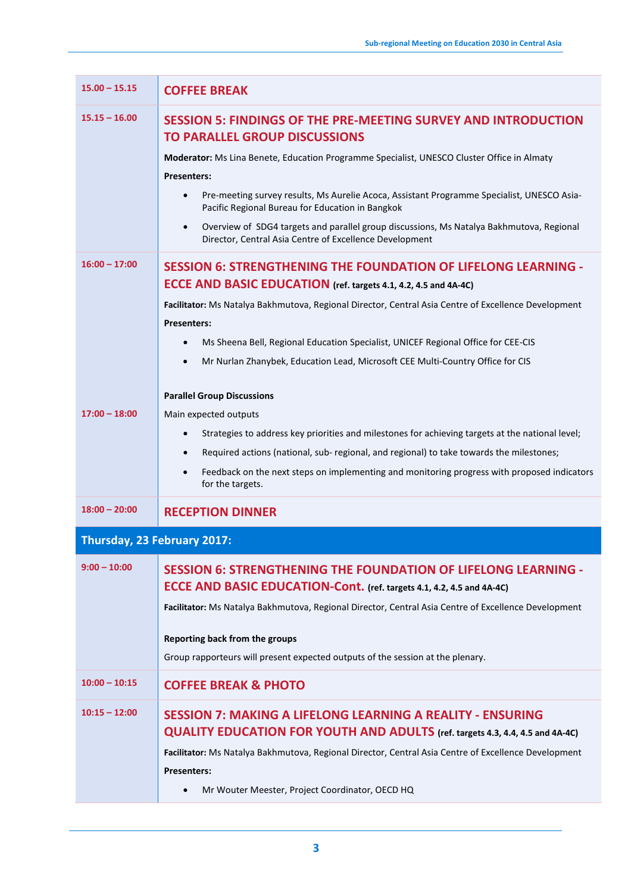| $15.00 - 15.15$             | <b>COFFEE BREAK</b>                                                                                                                                              |
|-----------------------------|------------------------------------------------------------------------------------------------------------------------------------------------------------------|
| $15.15 - 16.00$             | <b>SESSION 5: FINDINGS OF THE PRE-MEETING SURVEY AND INTRODUCTION</b><br><b>TO PARALLEL GROUP DISCUSSIONS</b>                                                    |
|                             | Moderator: Ms Lina Benete, Education Programme Specialist, UNESCO Cluster Office in Almaty<br><b>Presenters:</b>                                                 |
|                             | Pre-meeting survey results, Ms Aurelie Acoca, Assistant Programme Specialist, UNESCO Asia-<br>Pacific Regional Bureau for Education in Bangkok                   |
|                             | Overview of SDG4 targets and parallel group discussions, Ms Natalya Bakhmutova, Regional<br>$\bullet$<br>Director, Central Asia Centre of Excellence Development |
| $16:00 - 17:00$             | <b>SESSION 6: STRENGTHENING THE FOUNDATION OF LIFELONG LEARNING -</b><br>ECCE AND BASIC EDUCATION (ref. targets 4.1, 4.2, 4.5 and 4A-4C)                         |
|                             | Facilitator: Ms Natalya Bakhmutova, Regional Director, Central Asia Centre of Excellence Development<br><b>Presenters:</b>                                       |
|                             | Ms Sheena Bell, Regional Education Specialist, UNICEF Regional Office for CEE-CIS                                                                                |
|                             | Mr Nurlan Zhanybek, Education Lead, Microsoft CEE Multi-Country Office for CIS                                                                                   |
|                             | <b>Parallel Group Discussions</b>                                                                                                                                |
| $17:00 - 18:00$             | Main expected outputs                                                                                                                                            |
|                             | Strategies to address key priorities and milestones for achieving targets at the national level;<br>$\bullet$                                                    |
|                             | Required actions (national, sub- regional, and regional) to take towards the milestones;<br>$\bullet$                                                            |
|                             | Feedback on the next steps on implementing and monitoring progress with proposed indicators<br>$\bullet$<br>for the targets.                                     |
| $18:00 - 20:00$             | <b>RECEPTION DINNER</b>                                                                                                                                          |
| Thursday, 23 February 2017: |                                                                                                                                                                  |
| $9:00 - 10:00$              | <b>SESSION 6: STRENGTHENING THE FOUNDATION OF LIFELONG LEARNING -</b><br><b>ECCE AND BASIC EDUCATION-Cont.</b> (ref. targets 4.1, 4.2, 4.5 and 4A-4C)            |
|                             | Facilitator: Ms Natalya Bakhmutova, Regional Director, Central Asia Centre of Excellence Development                                                             |
|                             | Reporting back from the groups                                                                                                                                   |
|                             | Group rapporteurs will present expected outputs of the session at the plenary.                                                                                   |
| $10:00 - 10:15$             | <b>COFFEE BREAK &amp; PHOTO</b>                                                                                                                                  |
| $10:15 - 12:00$             | <b>SESSION 7: MAKING A LIFELONG LEARNING A REALITY - ENSURING</b><br>QUALITY EDUCATION FOR YOUTH AND ADULTS (ref. targets 4.3, 4.4, 4.5 and 4A-4C)               |
|                             | Facilitator: Ms Natalya Bakhmutova, Regional Director, Central Asia Centre of Excellence Development<br><b>Presenters:</b>                                       |
|                             | Mr Wouter Meester, Project Coordinator, OECD HQ                                                                                                                  |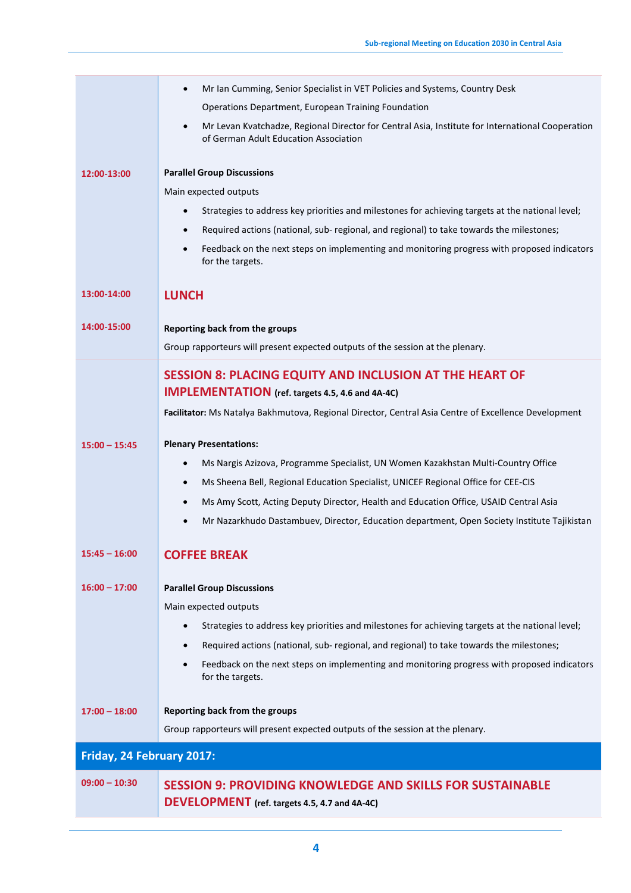|                           | Mr Ian Cumming, Senior Specialist in VET Policies and Systems, Country Desk<br>Operations Department, European Training Foundation        |  |
|---------------------------|-------------------------------------------------------------------------------------------------------------------------------------------|--|
|                           | Mr Levan Kvatchadze, Regional Director for Central Asia, Institute for International Cooperation<br>of German Adult Education Association |  |
| 12:00-13:00               | <b>Parallel Group Discussions</b>                                                                                                         |  |
|                           | Main expected outputs                                                                                                                     |  |
|                           | Strategies to address key priorities and milestones for achieving targets at the national level;                                          |  |
|                           | Required actions (national, sub- regional, and regional) to take towards the milestones;                                                  |  |
|                           | Feedback on the next steps on implementing and monitoring progress with proposed indicators<br>for the targets.                           |  |
| 13:00-14:00               | <b>LUNCH</b>                                                                                                                              |  |
| 14:00-15:00               | Reporting back from the groups                                                                                                            |  |
|                           | Group rapporteurs will present expected outputs of the session at the plenary.                                                            |  |
|                           | <b>SESSION 8: PLACING EQUITY AND INCLUSION AT THE HEART OF</b>                                                                            |  |
|                           | <b>IMPLEMENTATION</b> (ref. targets 4.5, 4.6 and 4A-4C)                                                                                   |  |
|                           | Facilitator: Ms Natalya Bakhmutova, Regional Director, Central Asia Centre of Excellence Development                                      |  |
| $15:00 - 15:45$           | <b>Plenary Presentations:</b>                                                                                                             |  |
|                           | Ms Nargis Azizova, Programme Specialist, UN Women Kazakhstan Multi-Country Office                                                         |  |
|                           | Ms Sheena Bell, Regional Education Specialist, UNICEF Regional Office for CEE-CIS<br>$\bullet$                                            |  |
|                           | Ms Amy Scott, Acting Deputy Director, Health and Education Office, USAID Central Asia                                                     |  |
|                           | Mr Nazarkhudo Dastambuev, Director, Education department, Open Society Institute Tajikistan                                               |  |
| $15:45 - 16:00$           | <b>COFFEE BREAK</b>                                                                                                                       |  |
| $16:00 - 17:00$           | <b>Parallel Group Discussions</b>                                                                                                         |  |
|                           | Main expected outputs                                                                                                                     |  |
|                           | Strategies to address key priorities and milestones for achieving targets at the national level;                                          |  |
|                           | Required actions (national, sub- regional, and regional) to take towards the milestones;                                                  |  |
|                           | Feedback on the next steps on implementing and monitoring progress with proposed indicators<br>for the targets.                           |  |
| $17:00 - 18:00$           | Reporting back from the groups                                                                                                            |  |
|                           | Group rapporteurs will present expected outputs of the session at the plenary.                                                            |  |
| Friday, 24 February 2017: |                                                                                                                                           |  |
| $09:00 - 10:30$           | <b>SESSION 9: PROVIDING KNOWLEDGE AND SKILLS FOR SUSTAINABLE</b><br>DEVELOPMENT (ref. targets 4.5, 4.7 and 4A-4C)                         |  |
|                           |                                                                                                                                           |  |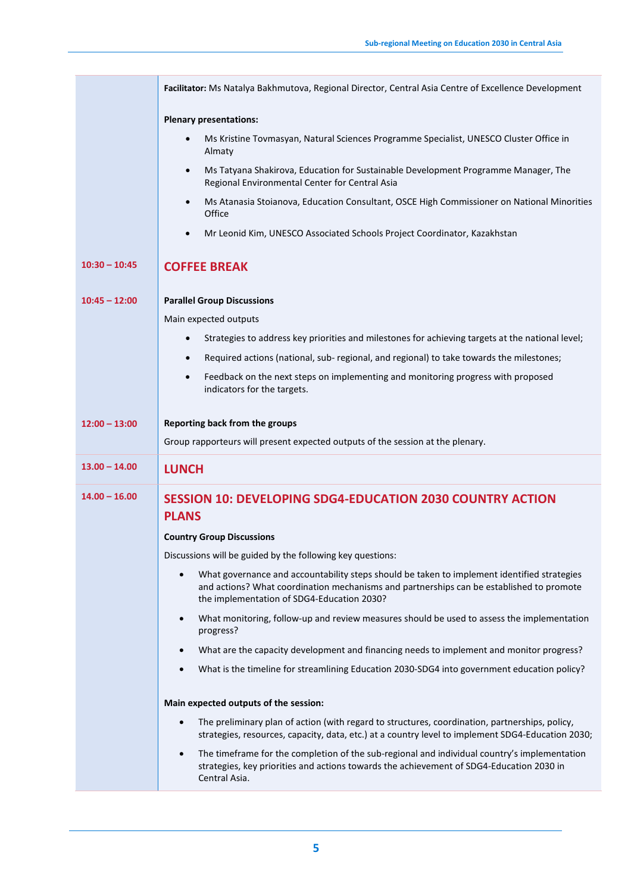|                 | Facilitator: Ms Natalya Bakhmutova, Regional Director, Central Asia Centre of Excellence Development                                                                                                                   |
|-----------------|------------------------------------------------------------------------------------------------------------------------------------------------------------------------------------------------------------------------|
|                 | <b>Plenary presentations:</b>                                                                                                                                                                                          |
|                 | Ms Kristine Tovmasyan, Natural Sciences Programme Specialist, UNESCO Cluster Office in<br>$\bullet$<br>Almaty                                                                                                          |
|                 | Ms Tatyana Shakirova, Education for Sustainable Development Programme Manager, The<br>$\bullet$<br>Regional Environmental Center for Central Asia                                                                      |
|                 | Ms Atanasia Stoianova, Education Consultant, OSCE High Commissioner on National Minorities<br>$\bullet$<br>Office                                                                                                      |
|                 | Mr Leonid Kim, UNESCO Associated Schools Project Coordinator, Kazakhstan<br>$\bullet$                                                                                                                                  |
| $10:30 - 10:45$ | <b>COFFEE BREAK</b>                                                                                                                                                                                                    |
| $10:45 - 12:00$ | <b>Parallel Group Discussions</b>                                                                                                                                                                                      |
|                 | Main expected outputs                                                                                                                                                                                                  |
|                 | Strategies to address key priorities and milestones for achieving targets at the national level;<br>$\bullet$                                                                                                          |
|                 | Required actions (national, sub- regional, and regional) to take towards the milestones;<br>$\bullet$                                                                                                                  |
|                 | Feedback on the next steps on implementing and monitoring progress with proposed<br>$\bullet$<br>indicators for the targets.                                                                                           |
| $12:00 - 13:00$ | Reporting back from the groups                                                                                                                                                                                         |
|                 | Group rapporteurs will present expected outputs of the session at the plenary.                                                                                                                                         |
| $13.00 - 14.00$ | <b>LUNCH</b>                                                                                                                                                                                                           |
| $14.00 - 16.00$ | <b>SESSION 10: DEVELOPING SDG4-EDUCATION 2030 COUNTRY ACTION</b><br><b>PLANS</b>                                                                                                                                       |
|                 | <b>Country Group Discussions</b>                                                                                                                                                                                       |
|                 | Discussions will be guided by the following key questions:                                                                                                                                                             |
|                 | What governance and accountability steps should be taken to implement identified strategies                                                                                                                            |
|                 | and actions? What coordination mechanisms and partnerships can be established to promote<br>the implementation of SDG4-Education 2030?                                                                                 |
|                 | What monitoring, follow-up and review measures should be used to assess the implementation<br>$\bullet$<br>progress?                                                                                                   |
|                 | What are the capacity development and financing needs to implement and monitor progress?<br>$\bullet$                                                                                                                  |
|                 | What is the timeline for streamlining Education 2030-SDG4 into government education policy?<br>$\bullet$                                                                                                               |
|                 | Main expected outputs of the session:                                                                                                                                                                                  |
|                 | The preliminary plan of action (with regard to structures, coordination, partnerships, policy,<br>strategies, resources, capacity, data, etc.) at a country level to implement SDG4-Education 2030;                    |
|                 | The timeframe for the completion of the sub-regional and individual country's implementation<br>$\bullet$<br>strategies, key priorities and actions towards the achievement of SDG4-Education 2030 in<br>Central Asia. |